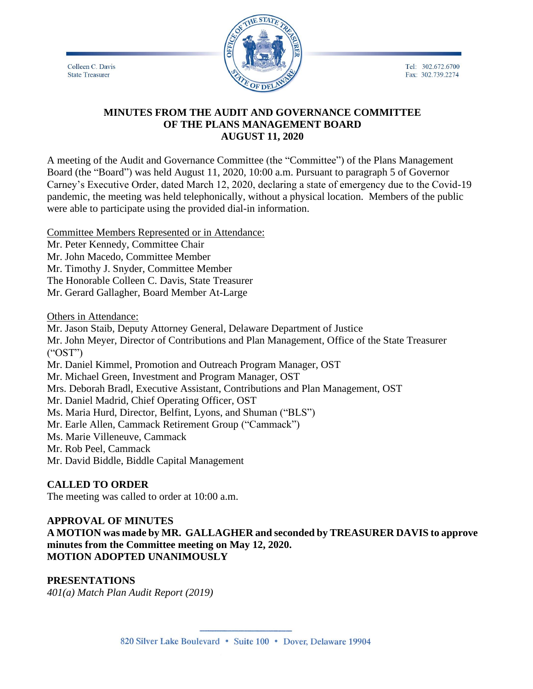Colleen C. Davis **State Treasurer** 



Tel: 302.672.6700 Fax: 302.739.2274

## **MINUTES FROM THE AUDIT AND GOVERNANCE COMMITTEE OF THE PLANS MANAGEMENT BOARD AUGUST 11, 2020**

A meeting of the Audit and Governance Committee (the "Committee") of the Plans Management Board (the "Board") was held August 11, 2020, 10:00 a.m. Pursuant to paragraph 5 of Governor Carney's Executive Order, dated March 12, 2020, declaring a state of emergency due to the Covid-19 pandemic, the meeting was held telephonically, without a physical location. Members of the public were able to participate using the provided dial-in information.

Committee Members Represented or in Attendance:

Mr. Peter Kennedy, Committee Chair

Mr. John Macedo, Committee Member

Mr. Timothy J. Snyder, Committee Member

The Honorable Colleen C. Davis, State Treasurer

Mr. Gerard Gallagher, Board Member At-Large

Others in Attendance:

Mr. Jason Staib, Deputy Attorney General, Delaware Department of Justice Mr. John Meyer, Director of Contributions and Plan Management, Office of the State Treasurer ("OST") Mr. Daniel Kimmel, Promotion and Outreach Program Manager, OST Mr. Michael Green, Investment and Program Manager, OST Mrs. Deborah Bradl, Executive Assistant, Contributions and Plan Management, OST Mr. Daniel Madrid, Chief Operating Officer, OST Ms. Maria Hurd, Director, Belfint, Lyons, and Shuman ("BLS") Mr. Earle Allen, Cammack Retirement Group ("Cammack") Ms. Marie Villeneuve, Cammack Mr. Rob Peel, Cammack Mr. David Biddle, Biddle Capital Management

# **CALLED TO ORDER**

The meeting was called to order at 10:00 a.m.

## **APPROVAL OF MINUTES**

**A MOTION was made by MR. GALLAGHER and seconded by TREASURER DAVIS to approve minutes from the Committee meeting on May 12, 2020. MOTION ADOPTED UNANIMOUSLY**

## **PRESENTATIONS**

*401(a) Match Plan Audit Report (2019)*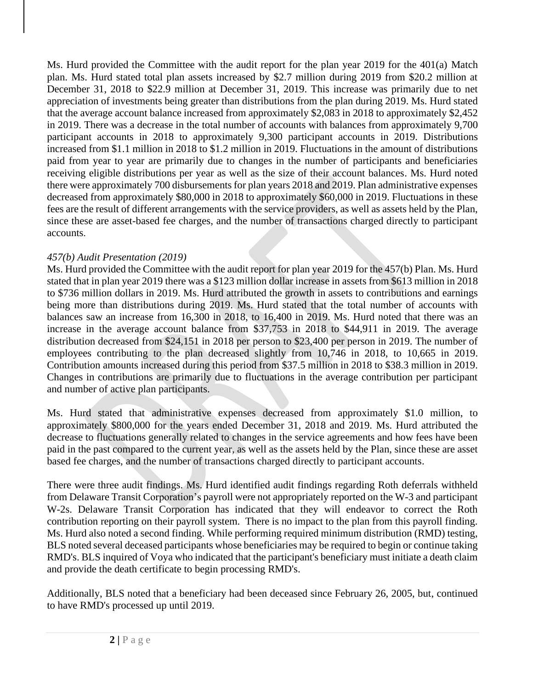Ms. Hurd provided the Committee with the audit report for the plan year 2019 for the 401(a) Match plan. Ms. Hurd stated total plan assets increased by \$2.7 million during 2019 from \$20.2 million at December 31, 2018 to \$22.9 million at December 31, 2019. This increase was primarily due to net appreciation of investments being greater than distributions from the plan during 2019. Ms. Hurd stated that the average account balance increased from approximately \$2,083 in 2018 to approximately \$2,452 in 2019. There was a decrease in the total number of accounts with balances from approximately 9,700 participant accounts in 2018 to approximately 9,300 participant accounts in 2019. Distributions increased from \$1.1 million in 2018 to \$1.2 million in 2019. Fluctuations in the amount of distributions paid from year to year are primarily due to changes in the number of participants and beneficiaries receiving eligible distributions per year as well as the size of their account balances. Ms. Hurd noted there were approximately 700 disbursements for plan years 2018 and 2019. Plan administrative expenses decreased from approximately \$80,000 in 2018 to approximately \$60,000 in 2019. Fluctuations in these fees are the result of different arrangements with the service providers, as well as assets held by the Plan, since these are asset-based fee charges, and the number of transactions charged directly to participant accounts.

# *457(b) Audit Presentation (2019)*

Ms. Hurd provided the Committee with the audit report for plan year 2019 for the 457(b) Plan. Ms. Hurd stated that in plan year 2019 there was a \$123 million dollar increase in assets from \$613 million in 2018 to \$736 million dollars in 2019. Ms. Hurd attributed the growth in assets to contributions and earnings being more than distributions during 2019. Ms. Hurd stated that the total number of accounts with balances saw an increase from 16,300 in 2018, to 16,400 in 2019. Ms. Hurd noted that there was an increase in the average account balance from \$37,753 in 2018 to \$44,911 in 2019. The average distribution decreased from \$24,151 in 2018 per person to \$23,400 per person in 2019. The number of employees contributing to the plan decreased slightly from 10,746 in 2018, to 10,665 in 2019. Contribution amounts increased during this period from \$37.5 million in 2018 to \$38.3 million in 2019. Changes in contributions are primarily due to fluctuations in the average contribution per participant and number of active plan participants.

Ms. Hurd stated that administrative expenses decreased from approximately \$1.0 million, to approximately \$800,000 for the years ended December 31, 2018 and 2019. Ms. Hurd attributed the decrease to fluctuations generally related to changes in the service agreements and how fees have been paid in the past compared to the current year, as well as the assets held by the Plan, since these are asset based fee charges, and the number of transactions charged directly to participant accounts.

There were three audit findings. Ms. Hurd identified audit findings regarding Roth deferrals withheld from Delaware Transit Corporation's payroll were not appropriately reported on the W-3 and participant W-2s. Delaware Transit Corporation has indicated that they will endeavor to correct the Roth contribution reporting on their payroll system. There is no impact to the plan from this payroll finding. Ms. Hurd also noted a second finding. While performing required minimum distribution (RMD) testing, BLS noted several deceased participants whose beneficiaries may be required to begin or continue taking RMD's. BLS inquired of Voya who indicated that the participant's beneficiary must initiate a death claim and provide the death certificate to begin processing RMD's.

Additionally, BLS noted that a beneficiary had been deceased since February 26, 2005, but, continued to have RMD's processed up until 2019.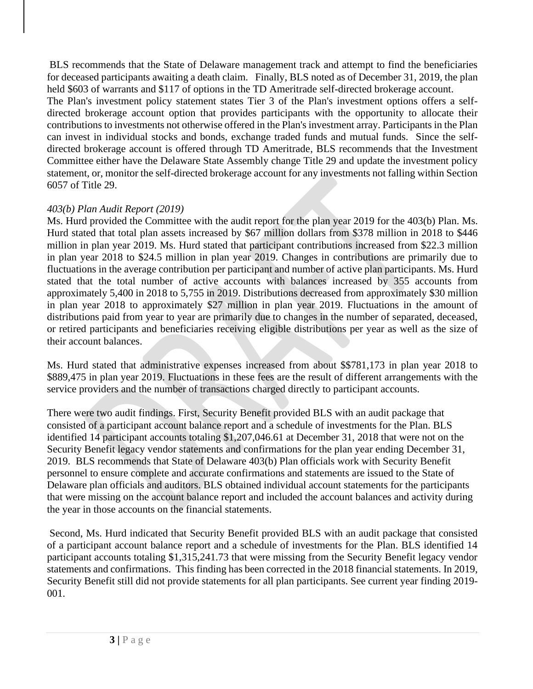BLS recommends that the State of Delaware management track and attempt to find the beneficiaries for deceased participants awaiting a death claim. Finally, BLS noted as of December 31, 2019, the plan held \$603 of warrants and \$117 of options in the TD Ameritrade self-directed brokerage account. The Plan's investment policy statement states Tier 3 of the Plan's investment options offers a selfdirected brokerage account option that provides participants with the opportunity to allocate their contributions to investments not otherwise offered in the Plan's investment array. Participants in the Plan can invest in individual stocks and bonds, exchange traded funds and mutual funds. Since the selfdirected brokerage account is offered through TD Ameritrade, BLS recommends that the Investment Committee either have the Delaware State Assembly change Title 29 and update the investment policy statement, or, monitor the self-directed brokerage account for any investments not falling within Section 6057 of Title 29.

## *403(b) Plan Audit Report (2019)*

Ms. Hurd provided the Committee with the audit report for the plan year 2019 for the 403(b) Plan. Ms. Hurd stated that total plan assets increased by \$67 million dollars from \$378 million in 2018 to \$446 million in plan year 2019. Ms. Hurd stated that participant contributions increased from \$22.3 million in plan year 2018 to \$24.5 million in plan year 2019. Changes in contributions are primarily due to fluctuations in the average contribution per participant and number of active plan participants. Ms. Hurd stated that the total number of active accounts with balances increased by 355 accounts from approximately 5,400 in 2018 to 5,755 in 2019. Distributions decreased from approximately \$30 million in plan year 2018 to approximately \$27 million in plan year 2019. Fluctuations in the amount of distributions paid from year to year are primarily due to changes in the number of separated, deceased, or retired participants and beneficiaries receiving eligible distributions per year as well as the size of their account balances.

Ms. Hurd stated that administrative expenses increased from about \$\$781,173 in plan year 2018 to \$889,475 in plan year 2019. Fluctuations in these fees are the result of different arrangements with the service providers and the number of transactions charged directly to participant accounts.

There were two audit findings. First, Security Benefit provided BLS with an audit package that consisted of a participant account balance report and a schedule of investments for the Plan. BLS identified 14 participant accounts totaling \$1,207,046.61 at December 31, 2018 that were not on the Security Benefit legacy vendor statements and confirmations for the plan year ending December 31, 2019. BLS recommends that State of Delaware 403(b) Plan officials work with Security Benefit personnel to ensure complete and accurate confirmations and statements are issued to the State of Delaware plan officials and auditors. BLS obtained individual account statements for the participants that were missing on the account balance report and included the account balances and activity during the year in those accounts on the financial statements.

Second, Ms. Hurd indicated that Security Benefit provided BLS with an audit package that consisted of a participant account balance report and a schedule of investments for the Plan. BLS identified 14 participant accounts totaling \$1,315,241.73 that were missing from the Security Benefit legacy vendor statements and confirmations. This finding has been corrected in the 2018 financial statements. In 2019, Security Benefit still did not provide statements for all plan participants. See current year finding 2019- 001.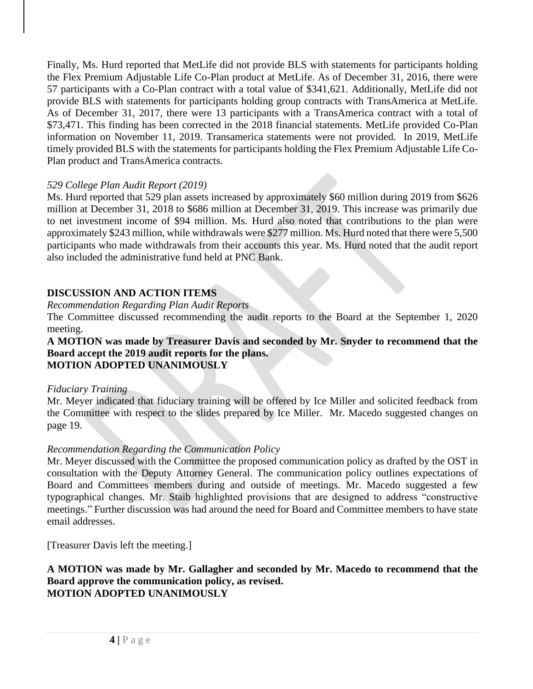Finally, Ms. Hurd reported that MetLife did not provide BLS with statements for participants holding the Flex Premium Adjustable Life Co-Plan product at MetLife. As of December 31, 2016, there were 57 participants with a Co-Plan contract with a total value of \$341,621. Additionally, MetLife did not provide BLS with statements for participants holding group contracts with TransAmerica at MetLife. As of December 31, 2017, there were 13 participants with a TransAmerica contract with a total of \$73,471. This finding has been corrected in the 2018 financial statements. MetLife provided Co-Plan information on November 11, 2019. Transamerica statements were not provided. In 2019, MetLife timely provided BLS with the statements for participants holding the Flex Premium Adjustable Life Co-Plan product and TransAmerica contracts.

# *529 College Plan Audit Report (2019)*

Ms. Hurd reported that 529 plan assets increased by approximately \$60 million during 2019 from \$626 million at December 31, 2018 to \$686 million at December 31, 2019. This increase was primarily due to net investment income of \$94 million. Ms. Hurd also noted that contributions to the plan were approximately \$243 million, while withdrawals were \$277 million. Ms. Hurd noted that there were 5,500 participants who made withdrawals from their accounts this year. Ms. Hurd noted that the audit report also included the administrative fund held at PNC Bank.

## **DISCUSSION AND ACTION ITEMS**

*Recommendation Regarding Plan Audit Reports*

The Committee discussed recommending the audit reports to the Board at the September 1, 2020 meeting.

#### **A MOTION was made by Treasurer Davis and seconded by Mr. Snyder to recommend that the Board accept the 2019 audit reports for the plans. MOTION ADOPTED UNANIMOUSLY**

## *Fiduciary Training*

Mr. Meyer indicated that fiduciary training will be offered by Ice Miller and solicited feedback from the Committee with respect to the slides prepared by Ice Miller. Mr. Macedo suggested changes on page 19.

# *Recommendation Regarding the Communication Policy*

Mr. Meyer discussed with the Committee the proposed communication policy as drafted by the OST in consultation with the Deputy Attorney General. The communication policy outlines expectations of Board and Committees members during and outside of meetings. Mr. Macedo suggested a few typographical changes. Mr. Staib highlighted provisions that are designed to address "constructive meetings." Further discussion was had around the need for Board and Committee members to have state email addresses.

[Treasurer Davis left the meeting.]

## **A MOTION was made by Mr. Gallagher and seconded by Mr. Macedo to recommend that the Board approve the communication policy, as revised. MOTION ADOPTED UNANIMOUSLY**